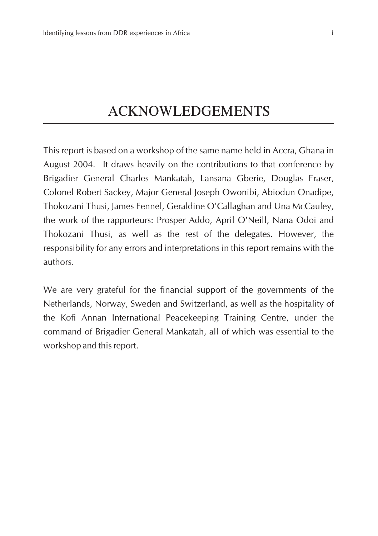## ACKNOWLEDGEMENTS

This report is based on a workshop of the same name held in Accra, Ghana in August 2004. It draws heavily on the contributions to that conference by Brigadier General Charles Mankatah, Lansana Gberie, Douglas Fraser, Colonel Robert Sackey, Major General Joseph Owonibi, Abiodun Onadipe, Thokozani Thusi, James Fennel, Geraldine O'Callaghan and Una McCauley, the work of the rapporteurs: Prosper Addo, April O'Neill, Nana Odoi and Thokozani Thusi, as well as the rest of the delegates. However, the responsibility for any errors and interpretations in this report remains with the authors.

We are very grateful for the financial support of the governments of the Netherlands, Norway, Sweden and Switzerland, as well as the hospitality of the Kofi Annan International Peacekeeping Training Centre, under the command of Brigadier General Mankatah, all of which was essential to the workshop and this report.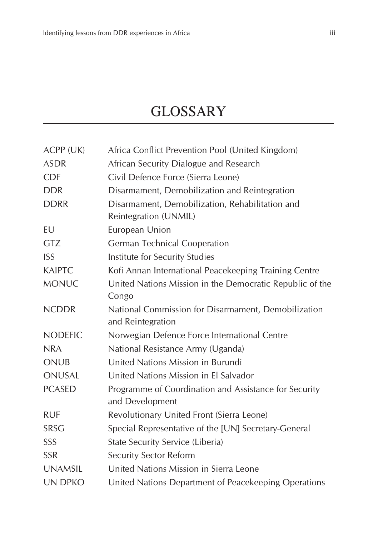# **GLOSSARY**

| ACPP (UK)      | Africa Conflict Prevention Pool (United Kingdom)                         |
|----------------|--------------------------------------------------------------------------|
| <b>ASDR</b>    | African Security Dialogue and Research                                   |
| <b>CDF</b>     | Civil Defence Force (Sierra Leone)                                       |
| <b>DDR</b>     | Disarmament, Demobilization and Reintegration                            |
| <b>DDRR</b>    | Disarmament, Demobilization, Rehabilitation and                          |
|                | Reintegration (UNMIL)                                                    |
| EU             | European Union                                                           |
| <b>GTZ</b>     | <b>German Technical Cooperation</b>                                      |
| <b>ISS</b>     | Institute for Security Studies                                           |
| <b>KAIPTC</b>  | Kofi Annan International Peacekeeping Training Centre                    |
| <b>MONUC</b>   | United Nations Mission in the Democratic Republic of the                 |
|                | Congo                                                                    |
| <b>NCDDR</b>   | National Commission for Disarmament, Demobilization<br>and Reintegration |
| <b>NODEFIC</b> | Norwegian Defence Force International Centre                             |
| <b>NRA</b>     | National Resistance Army (Uganda)                                        |
| <b>ONUB</b>    | United Nations Mission in Burundi                                        |
| ONUSAL         | United Nations Mission in El Salvador                                    |
| <b>PCASED</b>  | Programme of Coordination and Assistance for Security<br>and Development |
| <b>RUF</b>     | Revolutionary United Front (Sierra Leone)                                |
| SRSG           | Special Representative of the [UN] Secretary-General                     |
| SSS            | State Security Service (Liberia)                                         |
| <b>SSR</b>     | <b>Security Sector Reform</b>                                            |
| <b>UNAMSIL</b> | United Nations Mission in Sierra Leone                                   |
| UN DPKO        | United Nations Department of Peacekeeping Operations                     |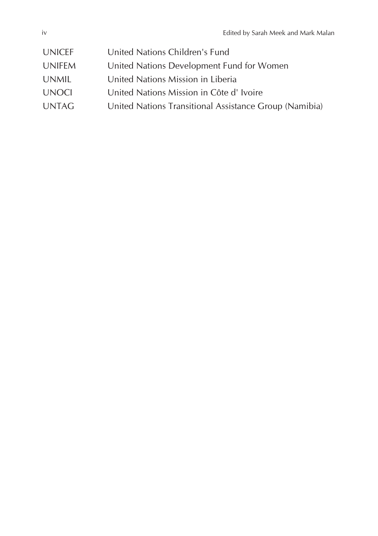| UNICEF       | United Nations Children's Fund                         |
|--------------|--------------------------------------------------------|
| UNIFEM       | United Nations Development Fund for Women              |
| UNMIL        | United Nations Mission in Liberia                      |
| <b>UNOCI</b> | United Nations Mission in Côte d'Ivoire                |
| <b>UNTAG</b> | United Nations Transitional Assistance Group (Namibia) |
|              |                                                        |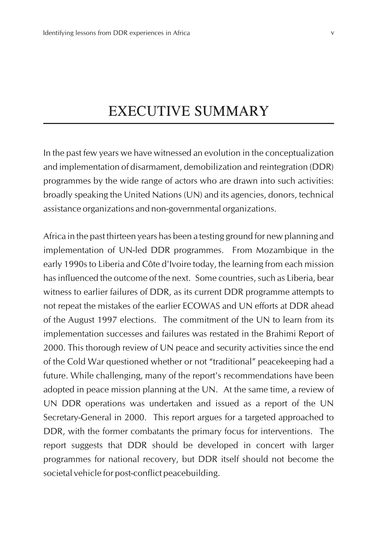## EXECUTIVE SUMMARY

In the past few years we have witnessed an evolution in the conceptualization and implementation of disarmament, demobilization and reintegration (DDR) programmes by the wide range of actors who are drawn into such activities: broadly speaking the United Nations (UN) and its agencies, donors, technical assistance organizations and non-governmental organizations.

Africa in the past thirteen years has been a testing ground for new planning and implementation of UN-led DDR programmes. From Mozambique in the early 1990s to Liberia and Côte d'Ivoire today, the learning from each mission has influenced the outcome of the next. Some countries, such as Liberia, bear witness to earlier failures of DDR, as its current DDR programme attempts to not repeat the mistakes of the earlier ECOWAS and UN efforts at DDR ahead of the August 1997 elections. The commitment of the UN to learn from its implementation successes and failures was restated in the Brahimi Report of 2000. This thorough review of UN peace and security activities since the end of the Cold War questioned whether or not "traditional" peacekeeping had a future. While challenging, many of the report's recommendations have been adopted in peace mission planning at the UN. At the same time, a review of UN DDR operations was undertaken and issued as a report of the UN Secretary-General in 2000. This report argues for a targeted approached to DDR, with the former combatants the primary focus for interventions. The report suggests that DDR should be developed in concert with larger programmes for national recovery, but DDR itself should not become the societal vehicle for post-conflict peacebuilding.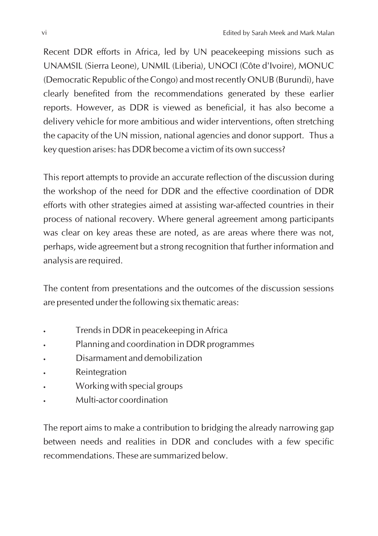Recent DDR efforts in Africa, led by UN peacekeeping missions such as UNAMSIL (Sierra Leone), UNMIL (Liberia), UNOCI (Côte d'Ivoire), MONUC (Democratic Republic of the Congo) and most recently ONUB (Burundi), have clearly benefited from the recommendations generated by these earlier reports. However, as DDR is viewed as beneficial, it has also become a delivery vehicle for more ambitious and wider interventions, often stretching the capacity of the UN mission, national agencies and donor support. Thus a key question arises: has DDR become a victim of its own success?

This report attempts to provide an accurate reflection of the discussion during the workshop of the need for DDR and the effective coordination of DDR efforts with other strategies aimed at assisting war-affected countries in their process of national recovery. Where general agreement among participants was clear on key areas these are noted, as are areas where there was not, perhaps, wide agreement but a strong recognition that further information and analysis are required.

The content from presentations and the outcomes of the discussion sessions are presented under the following six thematic areas:

- Trends in DDR in peacekeeping in Africa
- Planning and coordination in DDR programmes
- Disarmament and demobilization
- **Reintegration**
- Working with special groups
- Multi-actor coordination

The report aims to make a contribution to bridging the already narrowing gap between needs and realities in DDR and concludes with a few specific recommendations. These are summarized below.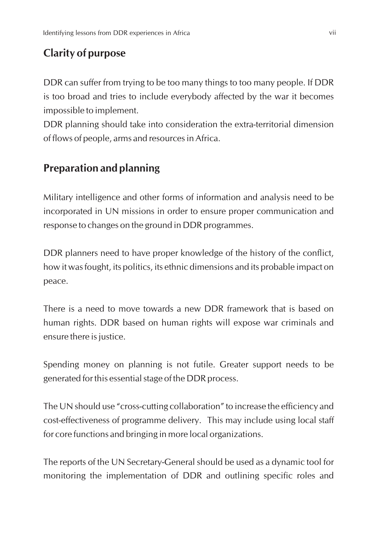## **Clarity of purpose**

DDR can suffer from trying to be too many things to too many people. If DDR is too broad and tries to include everybody affected by the war it becomes impossible to implement.

DDR planning should take into consideration the extra-territorial dimension of flows of people, arms and resources in Africa.

## **Preparation and planning**

Military intelligence and other forms of information and analysis need to be incorporated in UN missions in order to ensure proper communication and response to changes on the ground in DDR programmes.

DDR planners need to have proper knowledge of the history of the conflict, how it was fought, its politics, its ethnic dimensions and its probable impact on peace.

There is a need to move towards a new DDR framework that is based on human rights. DDR based on human rights will expose war criminals and ensure there is justice.

Spending money on planning is not futile. Greater support needs to be generated for this essential stage of the DDR process.

The UN should use "cross-cutting collaboration" to increase the efficiency and cost-effectiveness of programme delivery. This may include using local staff for core functions and bringing in more local organizations.

The reports of the UN Secretary-General should be used as a dynamic tool for monitoring the implementation of DDR and outlining specific roles and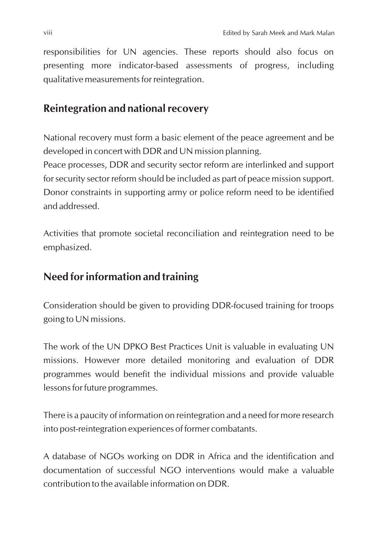responsibilities for UN agencies. These reports should also focus on presenting more indicator-based assessments of progress, including qualitative measurements for reintegration.

## **Reintegration and national recovery**

National recovery must form a basic element of the peace agreement and be developed in concert with DDR and UN mission planning.

Peace processes, DDR and security sector reform are interlinked and support for security sector reform should be included as part of peace mission support. Donor constraints in supporting army or police reform need to be identified and addressed.

Activities that promote societal reconciliation and reintegration need to be emphasized.

### **Need for information and training**

Consideration should be given to providing DDR-focused training for troops going to UN missions.

The work of the UN DPKO Best Practices Unit is valuable in evaluating UN missions. However more detailed monitoring and evaluation of DDR programmes would benefit the individual missions and provide valuable lessons for future programmes.

There is a paucity of information on reintegration and a need for more research into post-reintegration experiences of former combatants.

A database of NGOs working on DDR in Africa and the identification and documentation of successful NGO interventions would make a valuable contribution to the available information on DDR.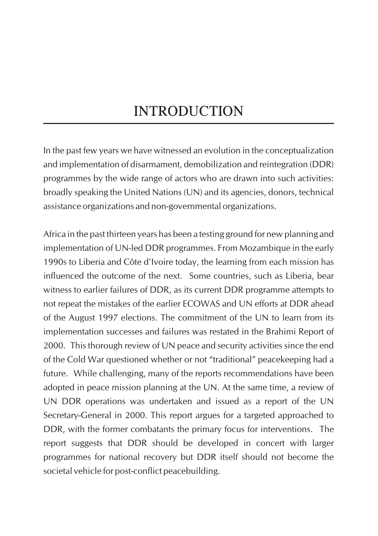# INTRODUCTION

In the past few years we have witnessed an evolution in the conceptualization and implementation of disarmament, demobilization and reintegration (DDR) programmes by the wide range of actors who are drawn into such activities: broadly speaking the United Nations (UN) and its agencies, donors, technical assistance organizations and non-governmental organizations.

Africa in the past thirteen years has been a testing ground for new planning and implementation of UN-led DDR programmes. From Mozambique in the early 1990s to Liberia and Côte d'Ivoire today, the learning from each mission has influenced the outcome of the next. Some countries, such as Liberia, bear witness to earlier failures of DDR, as its current DDR programme attempts to not repeat the mistakes of the earlier ECOWAS and UN efforts at DDR ahead of the August 1997 elections. The commitment of the UN to learn from its implementation successes and failures was restated in the Brahimi Report of 2000. This thorough review of UN peace and security activities since the end of the Cold War questioned whether or not "traditional" peacekeeping had a future. While challenging, many of the reports recommendations have been adopted in peace mission planning at the UN. At the same time, a review of UN DDR operations was undertaken and issued as a report of the UN Secretary-General in 2000. This report argues for a targeted approached to DDR, with the former combatants the primary focus for interventions. The report suggests that DDR should be developed in concert with larger programmes for national recovery but DDR itself should not become the societal vehicle for post-conflict peacebuilding.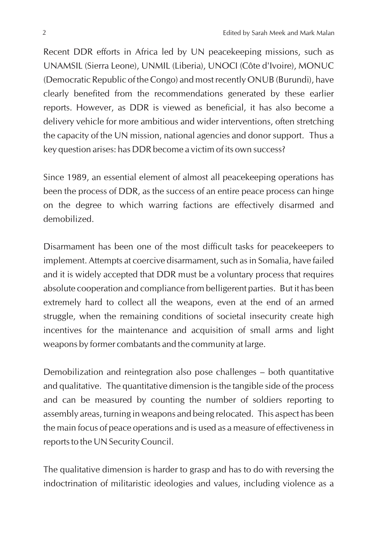Recent DDR efforts in Africa led by UN peacekeeping missions, such as UNAMSIL (Sierra Leone), UNMIL (Liberia), UNOCI (Côte d'Ivoire), MONUC (Democratic Republic of the Congo) and most recently ONUB (Burundi), have clearly benefited from the recommendations generated by these earlier reports. However, as DDR is viewed as beneficial, it has also become a delivery vehicle for more ambitious and wider interventions, often stretching the capacity of the UN mission, national agencies and donor support. Thus a key question arises: has DDR become a victim of its own success?

Since 1989, an essential element of almost all peacekeeping operations has been the process of DDR, as the success of an entire peace process can hinge on the degree to which warring factions are effectively disarmed and demobilized.

Disarmament has been one of the most difficult tasks for peacekeepers to implement. Attempts at coercive disarmament, such as in Somalia, have failed and it is widely accepted that DDR must be a voluntary process that requires absolute cooperation and compliance from belligerent parties. But it has been extremely hard to collect all the weapons, even at the end of an armed struggle, when the remaining conditions of societal insecurity create high incentives for the maintenance and acquisition of small arms and light weapons by former combatants and the community at large.

Demobilization and reintegration also pose challenges – both quantitative and qualitative. The quantitative dimension is the tangible side of the process and can be measured by counting the number of soldiers reporting to assembly areas, turning in weapons and being relocated. This aspect has been the main focus of peace operations and is used as a measure of effectiveness in reports to the UN Security Council.

The qualitative dimension is harder to grasp and has to do with reversing the indoctrination of militaristic ideologies and values, including violence as a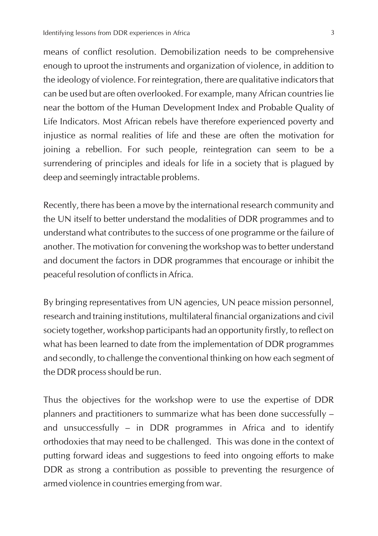means of conflict resolution. Demobilization needs to be comprehensive enough to uproot the instruments and organization of violence, in addition to the ideology of violence. For reintegration, there are qualitative indicators that can be used but are often overlooked. For example, many African countries lie near the bottom of the Human Development Index and Probable Quality of Life Indicators. Most African rebels have therefore experienced poverty and injustice as normal realities of life and these are often the motivation for joining a rebellion. For such people, reintegration can seem to be a surrendering of principles and ideals for life in a society that is plagued by deep and seemingly intractable problems.

Recently, there has been a move by the international research community and the UN itself to better understand the modalities of DDR programmes and to understand what contributes to the success of one programme or the failure of another. The motivation for convening the workshop was to better understand and document the factors in DDR programmes that encourage or inhibit the peaceful resolution of conflicts in Africa.

By bringing representatives from UN agencies, UN peace mission personnel, research and training institutions, multilateral financial organizations and civil society together, workshop participants had an opportunity firstly, to reflect on what has been learned to date from the implementation of DDR programmes and secondly, to challenge the conventional thinking on how each segment of the DDR process should be run.

Thus the objectives for the workshop were to use the expertise of DDR planners and practitioners to summarize what has been done successfully – and unsuccessfully – in DDR programmes in Africa and to identify orthodoxies that may need to be challenged. This was done in the context of putting forward ideas and suggestions to feed into ongoing efforts to make DDR as strong a contribution as possible to preventing the resurgence of armed violence in countries emerging from war.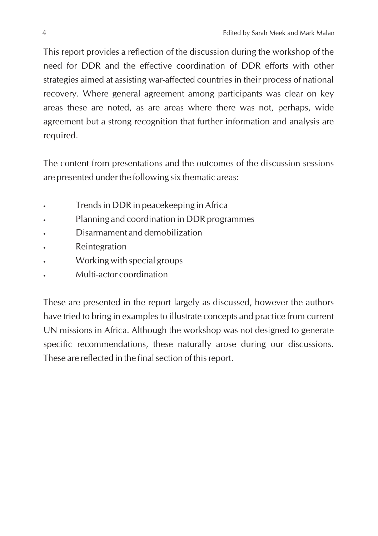This report provides a reflection of the discussion during the workshop of the need for DDR and the effective coordination of DDR efforts with other strategies aimed at assisting war-affected countries in their process of national recovery. Where general agreement among participants was clear on key areas these are noted, as are areas where there was not, perhaps, wide agreement but a strong recognition that further information and analysis are required.

The content from presentations and the outcomes of the discussion sessions are presented under the following six thematic areas:

- Trends in DDR in peacekeeping in Africa
- Planning and coordination in DDR programmes
- Disarmament and demobilization
- **Reintegration**
- Working with special groups
- Multi-actor coordination

These are presented in the report largely as discussed, however the authors have tried to bring in examples to illustrate concepts and practice from current UN missions in Africa. Although the workshop was not designed to generate specific recommendations, these naturally arose during our discussions. These are reflected in the final section of this report.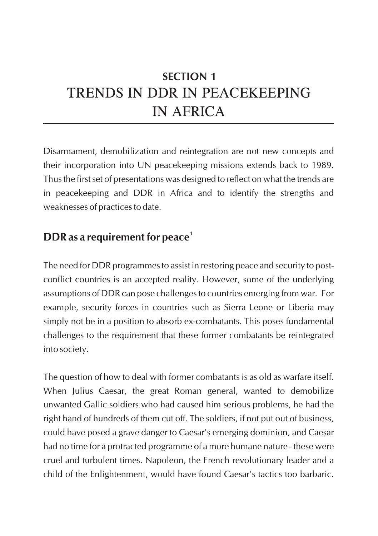## **SECTION 1** TRENDS IN DDR IN PEACEKEEPING IN AFRICA

Disarmament, demobilization and reintegration are not new concepts and their incorporation into UN peacekeeping missions extends back to 1989. Thus the first set of presentations was designed to reflect on what the trends are in peacekeeping and DDR in Africa and to identify the strengths and weaknesses of practices to date.

## **<sup>1</sup> DDR as a requirement for peace**

The need for DDR programmes to assist in restoring peace and security to postconflict countries is an accepted reality. However, some of the underlying assumptions of DDR can pose challenges to countries emerging from war. For example, security forces in countries such as Sierra Leone or Liberia may simply not be in a position to absorb ex-combatants. This poses fundamental challenges to the requirement that these former combatants be reintegrated into society.

The question of how to deal with former combatants is as old as warfare itself. When Julius Caesar, the great Roman general, wanted to demobilize unwanted Gallic soldiers who had caused him serious problems, he had the right hand of hundreds of them cut off. The soldiers, if not put out of business, could have posed a grave danger to Caesar's emerging dominion, and Caesar had no time for a protracted programme of a more humane nature - these were cruel and turbulent times. Napoleon, the French revolutionary leader and a child of the Enlightenment, would have found Caesar's tactics too barbaric.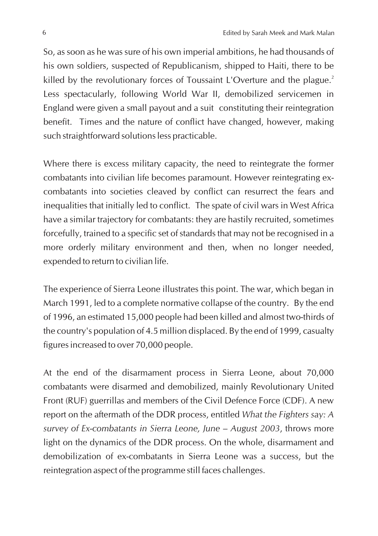So, as soon as he was sure of his own imperial ambitions, he had thousands of his own soldiers, suspected of Republicanism, shipped to Haiti, there to be killed by the revolutionary forces of Toussaint L'Overture and the plague.<sup>2</sup> Less spectacularly, following World War II, demobilized servicemen in England were given a small payout and a suit constituting their reintegration benefit. Times and the nature of conflict have changed, however, making such straightforward solutions less practicable.

Where there is excess military capacity, the need to reintegrate the former combatants into civilian life becomes paramount. However reintegrating excombatants into societies cleaved by conflict can resurrect the fears and inequalities that initially led to conflict. The spate of civil wars in West Africa have a similar trajectory for combatants: they are hastily recruited, sometimes forcefully, trained to a specific set of standards that may not be recognised in a more orderly military environment and then, when no longer needed, expended to return to civilian life.

The experience of Sierra Leone illustrates this point. The war, which began in March 1991, led to a complete normative collapse of the country. By the end of 1996, an estimated 15,000 people had been killed and almost two-thirds of the country's population of 4.5 million displaced. By the end of 1999, casualty figures increased to over 70,000 people.

At the end of the disarmament process in Sierra Leone, about 70,000 combatants were disarmed and demobilized, mainly Revolutionary United Front (RUF) guerrillas and members of the Civil Defence Force (CDF). A new report on the aftermath of the DDR process, entitled *What the Fighters say: A survey of Ex-combatants in Sierra Leone, June – August 2003*, throws more light on the dynamics of the DDR process. On the whole, disarmament and demobilization of ex-combatants in Sierra Leone was a success, but the reintegration aspect of the programme still faces challenges.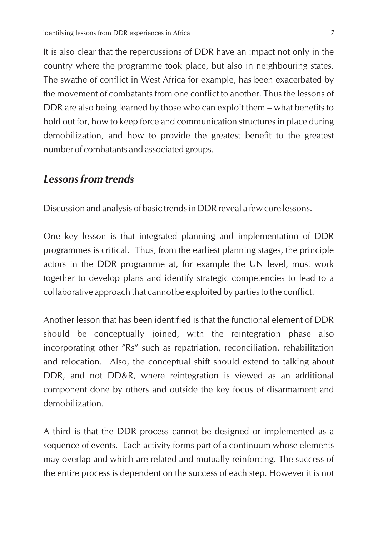It is also clear that the repercussions of DDR have an impact not only in the country where the programme took place, but also in neighbouring states. The swathe of conflict in West Africa for example, has been exacerbated by the movement of combatants from one conflict to another. Thus the lessons of DDR are also being learned by those who can exploit them – what benefits to hold out for, how to keep force and communication structures in place during demobilization, and how to provide the greatest benefit to the greatest number of combatants and associated groups.

#### *Lessons from trends*

Discussion and analysis of basic trends in DDR reveal a few core lessons.

One key lesson is that integrated planning and implementation of DDR programmes is critical. Thus, from the earliest planning stages, the principle actors in the DDR programme at, for example the UN level, must work together to develop plans and identify strategic competencies to lead to a collaborative approach that cannot be exploited by parties to the conflict.

Another lesson that has been identified is that the functional element of DDR should be conceptually joined, with the reintegration phase also incorporating other "Rs" such as repatriation, reconciliation, rehabilitation and relocation. Also, the conceptual shift should extend to talking about DDR, and not DD&R, where reintegration is viewed as an additional component done by others and outside the key focus of disarmament and demobilization.

A third is that the DDR process cannot be designed or implemented as a sequence of events. Each activity forms part of a continuum whose elements may overlap and which are related and mutually reinforcing. The success of the entire process is dependent on the success of each step. However it is not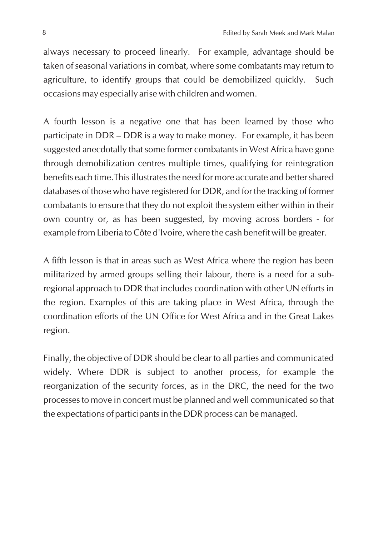always necessary to proceed linearly. For example, advantage should be taken of seasonal variations in combat, where some combatants may return to agriculture, to identify groups that could be demobilized quickly. Such occasions may especially arise with children and women.

A fourth lesson is a negative one that has been learned by those who participate in DDR – DDR is a way to make money. For example, it has been suggested anecdotally that some former combatants in West Africa have gone through demobilization centres multiple times, qualifying for reintegration benefits each time.This illustrates the need for more accurate and better shared databases of those who have registered for DDR, and for the tracking of former combatants to ensure that they do not exploit the system either within in their own country or, as has been suggested, by moving across borders - for example from Liberia to Côte d'Ivoire, where the cash benefit will be greater.

A fifth lesson is that in areas such as West Africa where the region has been militarized by armed groups selling their labour, there is a need for a subregional approach to DDR that includes coordination with other UN efforts in the region. Examples of this are taking place in West Africa, through the coordination efforts of the UN Office for West Africa and in the Great Lakes region.

Finally, the objective of DDR should be clear to all parties and communicated widely. Where DDR is subject to another process, for example the reorganization of the security forces, as in the DRC, the need for the two processes to move in concert must be planned and well communicated so that the expectations of participants in the DDR process can be managed.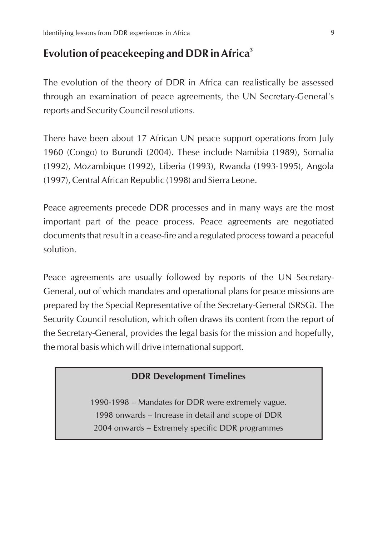### **3 Evolution of peacekeeping and DDR in Africa**

The evolution of the theory of DDR in Africa can realistically be assessed through an examination of peace agreements, the UN Secretary-General's reports and Security Council resolutions.

There have been about 17 African UN peace support operations from July 1960 (Congo) to Burundi (2004). These include Namibia (1989), Somalia (1992), Mozambique (1992), Liberia (1993), Rwanda (1993-1995), Angola (1997), Central African Republic (1998) and Sierra Leone.

Peace agreements precede DDR processes and in many ways are the most important part of the peace process. Peace agreements are negotiated documents that result in a cease-fire and a regulated process toward a peaceful solution.

Peace agreements are usually followed by reports of the UN Secretary-General, out of which mandates and operational plans for peace missions are prepared by the Special Representative of the Secretary-General (SRSG). The Security Council resolution, which often draws its content from the report of the Secretary-General, provides the legal basis for the mission and hopefully, the moral basis which will drive international support.

#### **DDR Development Timelines**

1990-1998 – Mandates for DDR were extremely vague. 1998 onwards – Increase in detail and scope of DDR 2004 onwards – Extremely specific DDR programmes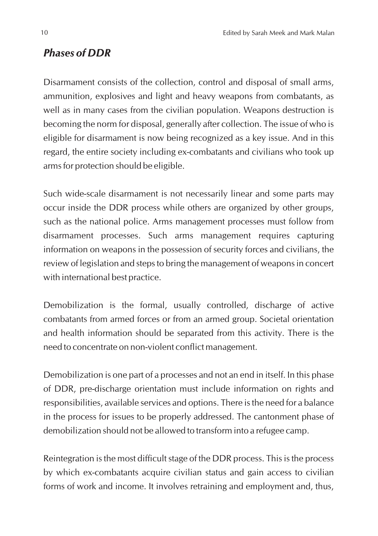### *Phases of DDR*

Disarmament consists of the collection, control and disposal of small arms, ammunition, explosives and light and heavy weapons from combatants, as well as in many cases from the civilian population. Weapons destruction is becoming the norm for disposal, generally after collection. The issue of who is eligible for disarmament is now being recognized as a key issue. And in this regard, the entire society including ex-combatants and civilians who took up arms for protection should be eligible.

Such wide-scale disarmament is not necessarily linear and some parts may occur inside the DDR process while others are organized by other groups, such as the national police. Arms management processes must follow from disarmament processes. Such arms management requires capturing information on weapons in the possession of security forces and civilians, the review of legislation and steps to bring the management of weapons in concert with international best practice.

Demobilization is the formal, usually controlled, discharge of active combatants from armed forces or from an armed group. Societal orientation and health information should be separated from this activity. There is the need to concentrate on non-violent conflict management.

Demobilization is one part of a processes and not an end in itself. In this phase of DDR, pre-discharge orientation must include information on rights and responsibilities, available services and options. There is the need for a balance in the process for issues to be properly addressed. The cantonment phase of demobilization should not be allowed to transform into a refugee camp.

Reintegration is the most difficult stage of the DDR process. This is the process by which ex-combatants acquire civilian status and gain access to civilian forms of work and income. It involves retraining and employment and, thus,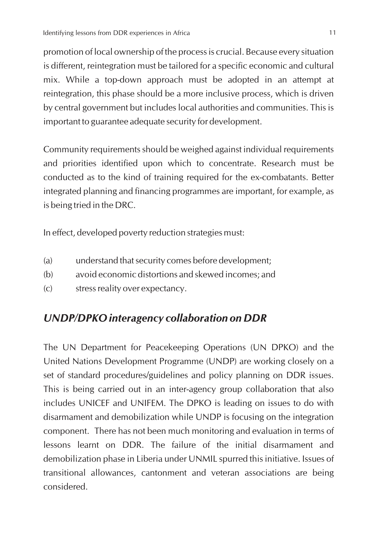promotion of local ownership of the process is crucial. Because every situation is different, reintegration must be tailored for a specific economic and cultural mix. While a top-down approach must be adopted in an attempt at reintegration, this phase should be a more inclusive process, which is driven by central government but includes local authorities and communities. This is important to guarantee adequate security for development.

Community requirements should be weighed against individual requirements and priorities identified upon which to concentrate. Research must be conducted as to the kind of training required for the ex-combatants. Better integrated planning and financing programmes are important, for example, as is being tried in the DRC.

In effect, developed poverty reduction strategies must:

- (a) understand that security comes before development;
- (b) avoid economic distortions and skewed incomes; and
- (c) stress reality over expectancy.

## *UNDP/DPKO interagency collaboration on DDR*

The UN Department for Peacekeeping Operations (UN DPKO) and the United Nations Development Programme (UNDP) are working closely on a set of standard procedures/guidelines and policy planning on DDR issues. This is being carried out in an inter-agency group collaboration that also includes UNICEF and UNIFEM. The DPKO is leading on issues to do with disarmament and demobilization while UNDP is focusing on the integration component. There has not been much monitoring and evaluation in terms of lessons learnt on DDR. The failure of the initial disarmament and demobilization phase in Liberia under UNMIL spurred this initiative. Issues of transitional allowances, cantonment and veteran associations are being considered.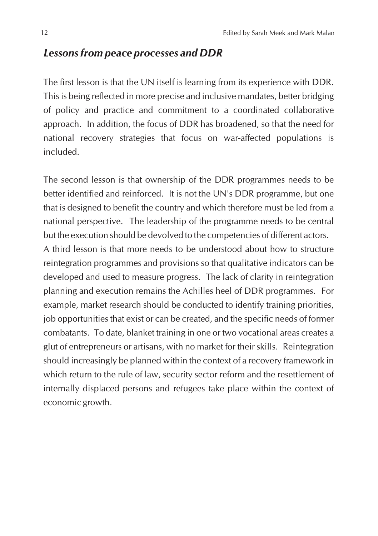#### *Lessons from peace processes and DDR*

The first lesson is that the UN itself is learning from its experience with DDR. This is being reflected in more precise and inclusive mandates, better bridging of policy and practice and commitment to a coordinated collaborative approach. In addition, the focus of DDR has broadened, so that the need for national recovery strategies that focus on war-affected populations is included.

The second lesson is that ownership of the DDR programmes needs to be better identified and reinforced. It is not the UN's DDR programme, but one that is designed to benefit the country and which therefore must be led from a national perspective. The leadership of the programme needs to be central but the execution should be devolved to the competencies of different actors.

A third lesson is that more needs to be understood about how to structure reintegration programmes and provisions so that qualitative indicators can be developed and used to measure progress. The lack of clarity in reintegration planning and execution remains the Achilles heel of DDR programmes. For example, market research should be conducted to identify training priorities, job opportunities that exist or can be created, and the specific needs of former combatants. To date, blanket training in one or two vocational areas creates a glut of entrepreneurs or artisans, with no market for their skills. Reintegration should increasingly be planned within the context of a recovery framework in which return to the rule of law, security sector reform and the resettlement of internally displaced persons and refugees take place within the context of economic growth.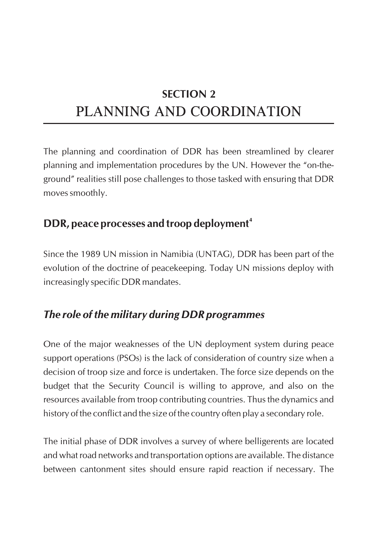## **SECTION 2** PLANNING AND COORDINATION

The planning and coordination of DDR has been streamlined by clearer planning and implementation procedures by the UN. However the "on-theground" realities still pose challenges to those tasked with ensuring that DDR moves smoothly.

## **<sup>4</sup> DDR, peace processes and troop deployment**

Since the 1989 UN mission in Namibia (UNTAG), DDR has been part of the evolution of the doctrine of peacekeeping. Today UN missions deploy with increasingly specific DDR mandates.

## *The role of the military during DDR programmes*

One of the major weaknesses of the UN deployment system during peace support operations (PSOs) is the lack of consideration of country size when a decision of troop size and force is undertaken. The force size depends on the budget that the Security Council is willing to approve, and also on the resources available from troop contributing countries. Thus the dynamics and history of the conflict and the size of the country often play a secondary role.

The initial phase of DDR involves a survey of where belligerents are located and what road networks and transportation options are available. The distance between cantonment sites should ensure rapid reaction if necessary. The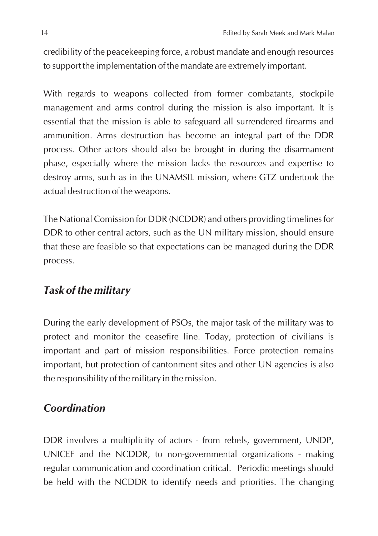credibility of the peacekeeping force, a robust mandate and enough resources to support the implementation of the mandate are extremely important.

With regards to weapons collected from former combatants, stockpile management and arms control during the mission is also important. It is essential that the mission is able to safeguard all surrendered firearms and ammunition. Arms destruction has become an integral part of the DDR process. Other actors should also be brought in during the disarmament phase, especially where the mission lacks the resources and expertise to destroy arms, such as in the UNAMSIL mission, where GTZ undertook the actual destruction of the weapons.

The National Comission for DDR (NCDDR) and others providing timelines for DDR to other central actors, such as the UN military mission, should ensure that these are feasible so that expectations can be managed during the DDR process.

### *Task of the military*

During the early development of PSOs, the major task of the military was to protect and monitor the ceasefire line. Today, protection of civilians is important and part of mission responsibilities. Force protection remains important, but protection of cantonment sites and other UN agencies is also the responsibility of the military in the mission.

## *Coordination*

DDR involves a multiplicity of actors - from rebels, government, UNDP, UNICEF and the NCDDR, to non-governmental organizations - making regular communication and coordination critical. Periodic meetings should be held with the NCDDR to identify needs and priorities. The changing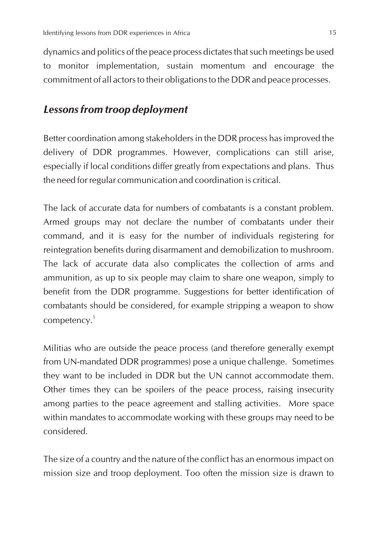dynamics and politics of the peace process dictates that such meetings be used to monitor implementation, sustain momentum and encourage the commitment of all actors to their obligations to the DDR and peace processes.

#### *Lessons from troop deployment*

Better coordination among stakeholders in the DDR process has improved the delivery of DDR programmes. However, complications can still arise, especially if local conditions differ greatly from expectations and plans. Thus the need for regular communication and coordination is critical.

The lack of accurate data for numbers of combatants is a constant problem. Armed groups may not declare the number of combatants under their command, and it is easy for the number of individuals registering for reintegration benefits during disarmament and demobilization to mushroom. The lack of accurate data also complicates the collection of arms and ammunition, as up to six people may claim to share one weapon, simply to benefit from the DDR programme. Suggestions for better identification of combatants should be considered, for example stripping a weapon to show competency.<sup>5</sup>

Militias who are outside the peace process (and therefore generally exempt from UN-mandated DDR programmes) pose a unique challenge. Sometimes they want to be included in DDR but the UN cannot accommodate them. Other times they can be spoilers of the peace process, raising insecurity among parties to the peace agreement and stalling activities. More space within mandates to accommodate working with these groups may need to be considered.

The size of a country and the nature of the conflict has an enormous impact on mission size and troop deployment. Too often the mission size is drawn to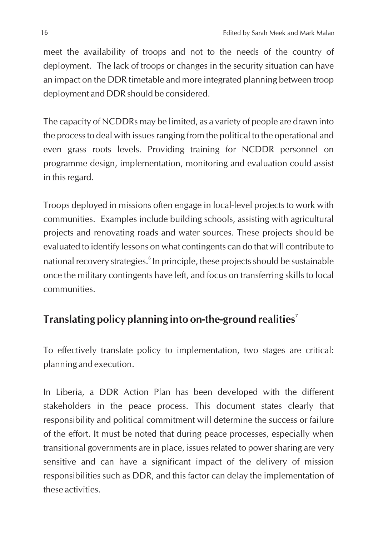meet the availability of troops and not to the needs of the country of deployment. The lack of troops or changes in the security situation can have an impact on the DDR timetable and more integrated planning between troop deployment and DDR should be considered.

The capacity of NCDDRs may be limited, as a variety of people are drawn into the process to deal with issues ranging from the political to the operational and even grass roots levels. Providing training for NCDDR personnel on programme design, implementation, monitoring and evaluation could assist in this regard.

Troops deployed in missions often engage in local-level projects to work with communities. Examples include building schools, assisting with agricultural projects and renovating roads and water sources. These projects should be evaluated to identify lessons on what contingents can do that will contribute to national recovery strategies.<sup>6</sup> In principle, these projects should be sustainable once the military contingents have left, and focus on transferring skills to local communities.

## **7 Translating policy planning into on-the-ground realities**

To effectively translate policy to implementation, two stages are critical: planning and execution.

In Liberia, a DDR Action Plan has been developed with the different stakeholders in the peace process. This document states clearly that responsibility and political commitment will determine the success or failure of the effort. It must be noted that during peace processes, especially when transitional governments are in place, issues related to power sharing are very sensitive and can have a significant impact of the delivery of mission responsibilities such as DDR, and this factor can delay the implementation of these activities.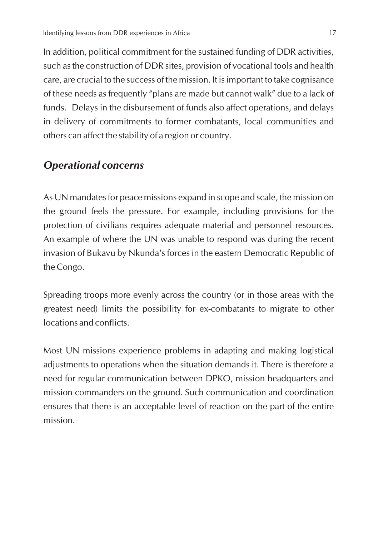In addition, political commitment for the sustained funding of DDR activities, such as the construction of DDR sites, provision of vocational tools and health care, are crucial to the success of the mission. It is important to take cognisance of these needs as frequently "plans are made but cannot walk" due to a lack of funds. Delays in the disbursement of funds also affect operations, and delays in delivery of commitments to former combatants, local communities and others can affect the stability of a region or country.

#### *Operational concerns*

As UN mandates for peace missions expand in scope and scale, the mission on the ground feels the pressure. For example, including provisions for the protection of civilians requires adequate material and personnel resources. An example of where the UN was unable to respond was during the recent invasion of Bukavu by Nkunda's forces in the eastern Democratic Republic of the Congo.

Spreading troops more evenly across the country (or in those areas with the greatest need) limits the possibility for ex-combatants to migrate to other locations and conflicts.

Most UN missions experience problems in adapting and making logistical adjustments to operations when the situation demands it. There is therefore a need for regular communication between DPKO, mission headquarters and mission commanders on the ground. Such communication and coordination ensures that there is an acceptable level of reaction on the part of the entire mission.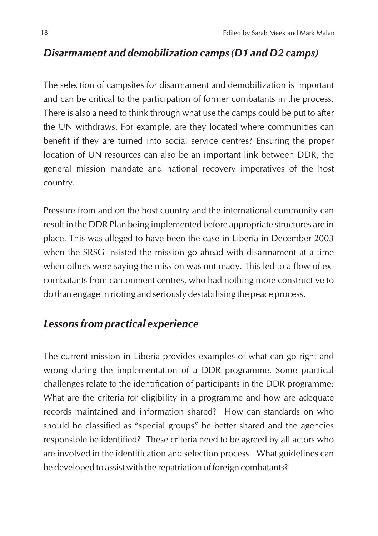#### *Disarmament and demobilization camps (D1 and D2 camps)*

The selection of campsites for disarmament and demobilization is important and can be critical to the participation of former combatants in the process. There is also a need to think through what use the camps could be put to after the UN withdraws. For example, are they located where communities can benefit if they are turned into social service centres? Ensuring the proper location of UN resources can also be an important link between DDR, the general mission mandate and national recovery imperatives of the host country.

Pressure from and on the host country and the international community can result in the DDR Plan being implemented before appropriate structures are in place. This was alleged to have been the case in Liberia in December 2003 when the SRSG insisted the mission go ahead with disarmament at a time when others were saying the mission was not ready. This led to a flow of excombatants from cantonment centres, who had nothing more constructive to do than engage in rioting and seriously destabilising the peace process.

#### *Lessons from practical experience*

The current mission in Liberia provides examples of what can go right and wrong during the implementation of a DDR programme. Some practical challenges relate to the identification of participants in the DDR programme: What are the criteria for eligibility in a programme and how are adequate records maintained and information shared? How can standards on who should be classified as "special groups" be better shared and the agencies responsible be identified? These criteria need to be agreed by all actors who are involved in the identification and selection process. What guidelines can be developed to assist with the repatriation of foreign combatants?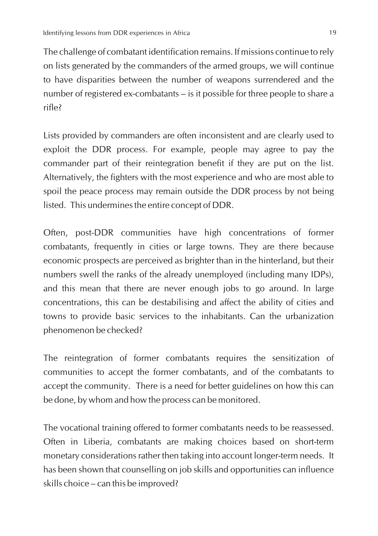The challenge of combatant identification remains. If missions continue to rely on lists generated by the commanders of the armed groups, we will continue to have disparities between the number of weapons surrendered and the number of registered ex-combatants – is it possible for three people to share a rifle?

Lists provided by commanders are often inconsistent and are clearly used to exploit the DDR process. For example, people may agree to pay the commander part of their reintegration benefit if they are put on the list. Alternatively, the fighters with the most experience and who are most able to spoil the peace process may remain outside the DDR process by not being listed. This undermines the entire concept of DDR.

Often, post-DDR communities have high concentrations of former combatants, frequently in cities or large towns. They are there because economic prospects are perceived as brighter than in the hinterland, but their numbers swell the ranks of the already unemployed (including many IDPs), and this mean that there are never enough jobs to go around. In large concentrations, this can be destabilising and affect the ability of cities and towns to provide basic services to the inhabitants. Can the urbanization phenomenon be checked?

The reintegration of former combatants requires the sensitization of communities to accept the former combatants, and of the combatants to accept the community. There is a need for better guidelines on how this can be done, by whom and how the process can be monitored.

The vocational training offered to former combatants needs to be reassessed. Often in Liberia, combatants are making choices based on short-term monetary considerations rather then taking into account longer-term needs. It has been shown that counselling on job skills and opportunities can influence skills choice – can this be improved?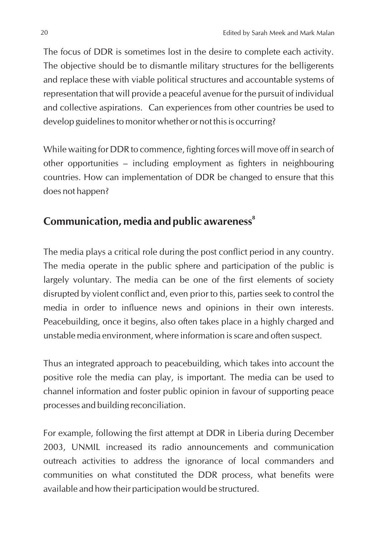The focus of DDR is sometimes lost in the desire to complete each activity. The objective should be to dismantle military structures for the belligerents and replace these with viable political structures and accountable systems of representation that will provide a peaceful avenue for the pursuit of individual and collective aspirations. Can experiences from other countries be used to develop guidelines to monitor whether or not this is occurring?

While waiting for DDR to commence, fighting forces will move off in search of other opportunities – including employment as fighters in neighbouring countries. How can implementation of DDR be changed to ensure that this does not happen?

## **8 Communication, media and public awareness**

The media plays a critical role during the post conflict period in any country. The media operate in the public sphere and participation of the public is largely voluntary. The media can be one of the first elements of society disrupted by violent conflict and, even prior to this, parties seek to control the media in order to influence news and opinions in their own interests. Peacebuilding, once it begins, also often takes place in a highly charged and unstable media environment, where information is scare and often suspect.

Thus an integrated approach to peacebuilding, which takes into account the positive role the media can play, is important. The media can be used to channel information and foster public opinion in favour of supporting peace processes and building reconciliation.

For example, following the first attempt at DDR in Liberia during December 2003, UNMIL increased its radio announcements and communication outreach activities to address the ignorance of local commanders and communities on what constituted the DDR process, what benefits were available and how their participation would be structured.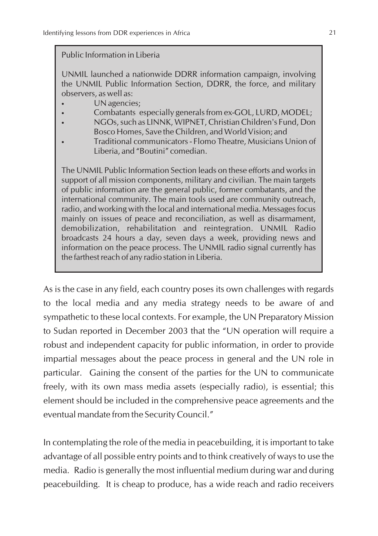#### Public Information in Liberia

UNMIL launched a nationwide DDRR information campaign, involving the UNMIL Public Information Section, DDRR, the force, and military observers, as well as:

- UN agencies:
- Combatants especially generals from ex-GOL, LURD, MODEL;
- NGOs, such as LINNK, WIPNET, Christian Children's Fund, Don Bosco Homes, Save the Children, and World Vision; and
- Traditional communicators Flomo Theatre, Musicians Union of Liberia, and "Boutini" comedian.

The UNMIL Public Information Section leads on these efforts and works in support of all mission components, military and civilian. The main targets of public information are the general public, former combatants, and the international community. The main tools used are community outreach, radio, and working with the local and international media. Messages focus mainly on issues of peace and reconciliation, as well as disarmament, demobilization, rehabilitation and reintegration. UNMIL Radio broadcasts 24 hours a day, seven days a week, providing news and information on the peace process. The UNMIL radio signal currently has the farthest reach of any radio station in Liberia.

As is the case in any field, each country poses its own challenges with regards to the local media and any media strategy needs to be aware of and sympathetic to these local contexts. For example, the UN Preparatory Mission to Sudan reported in December 2003 that the "UN operation will require a robust and independent capacity for public information, in order to provide impartial messages about the peace process in general and the UN role in particular. Gaining the consent of the parties for the UN to communicate freely, with its own mass media assets (especially radio), is essential; this element should be included in the comprehensive peace agreements and the eventual mandate from the Security Council."

In contemplating the role of the media in peacebuilding, it is important to take advantage of all possible entry points and to think creatively of ways to use the media. Radio is generally the most influential medium during war and during peacebuilding. It is cheap to produce, has a wide reach and radio receivers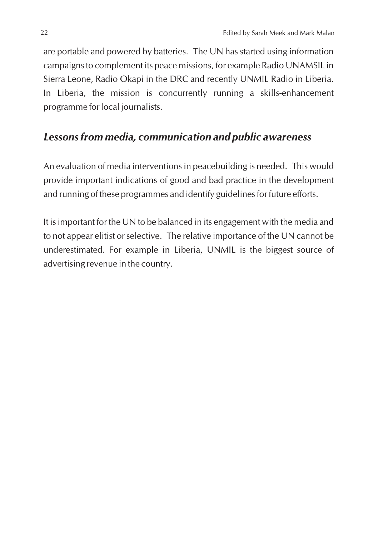are portable and powered by batteries. The UN has started using information campaigns to complement its peace missions, for example Radio UNAMSIL in Sierra Leone, Radio Okapi in the DRC and recently UNMIL Radio in Liberia. In Liberia, the mission is concurrently running a skills-enhancement programme for local journalists.

## *Lessons from media, communication and public awareness*

An evaluation of media interventions in peacebuilding is needed. This would provide important indications of good and bad practice in the development and running of these programmes and identify guidelines for future efforts.

It is important for the UN to be balanced in its engagement with the media and to not appear elitist or selective. The relative importance of the UN cannot be underestimated. For example in Liberia, UNMIL is the biggest source of advertising revenue in the country.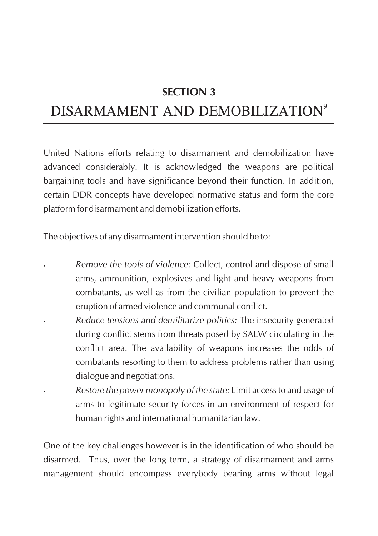## **SECTION 3**

# DISARMAMENT AND DEMOBILIZATION<sup>9</sup>

United Nations efforts relating to disarmament and demobilization have advanced considerably. It is acknowledged the weapons are political bargaining tools and have significance beyond their function. In addition, certain DDR concepts have developed normative status and form the core platform for disarmament and demobilization efforts.

The objectives of any disarmament intervention should be to:

- *Remove the tools of violence:* Collect, control and dispose of small arms, ammunition, explosives and light and heavy weapons from combatants, as well as from the civilian population to prevent the eruption of armed violence and communal conflict.
- *Reduce tensions and demilitarize politics:* The insecurity generated during conflict stems from threats posed by SALW circulating in the conflict area. The availability of weapons increases the odds of combatants resorting to them to address problems rather than using dialogue and negotiations.
- *Restore the power monopoly of the state:* Limit access to and usage of arms to legitimate security forces in an environment of respect for human rights and international humanitarian law.

One of the key challenges however is in the identification of who should be disarmed. Thus, over the long term, a strategy of disarmament and arms management should encompass everybody bearing arms without legal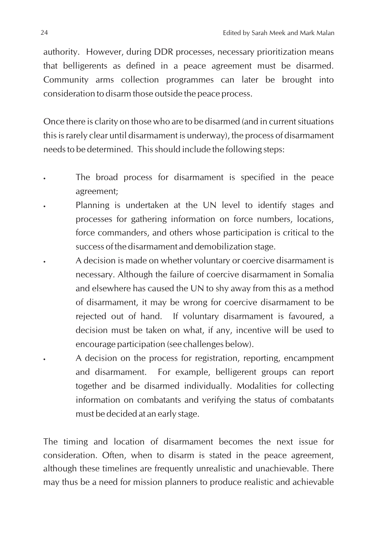authority. However, during DDR processes, necessary prioritization means that belligerents as defined in a peace agreement must be disarmed. Community arms collection programmes can later be brought into consideration to disarm those outside the peace process.

Once there is clarity on those who are to be disarmed (and in current situations this is rarely clear until disarmament is underway), the process of disarmament needs to be determined. This should include the following steps:

- The broad process for disarmament is specified in the peace agreement;
- Planning is undertaken at the UN level to identify stages and processes for gathering information on force numbers, locations, force commanders, and others whose participation is critical to the success of the disarmament and demobilization stage.
- A decision is made on whether voluntary or coercive disarmament is necessary. Although the failure of coercive disarmament in Somalia and elsewhere has caused the UN to shy away from this as a method of disarmament, it may be wrong for coercive disarmament to be rejected out of hand. If voluntary disarmament is favoured, a decision must be taken on what, if any, incentive will be used to encourage participation (see challenges below).

• A decision on the process for registration, reporting, encampment and disarmament. For example, belligerent groups can report together and be disarmed individually. Modalities for collecting information on combatants and verifying the status of combatants must be decided at an early stage.

The timing and location of disarmament becomes the next issue for consideration. Often, when to disarm is stated in the peace agreement, although these timelines are frequently unrealistic and unachievable. There may thus be a need for mission planners to produce realistic and achievable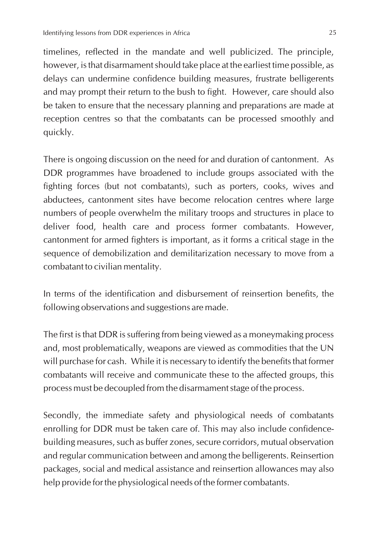timelines, reflected in the mandate and well publicized. The principle, however, is that disarmament should take place at the earliest time possible, as delays can undermine confidence building measures, frustrate belligerents and may prompt their return to the bush to fight. However, care should also be taken to ensure that the necessary planning and preparations are made at reception centres so that the combatants can be processed smoothly and quickly.

There is ongoing discussion on the need for and duration of cantonment. As DDR programmes have broadened to include groups associated with the fighting forces (but not combatants), such as porters, cooks, wives and abductees, cantonment sites have become relocation centres where large numbers of people overwhelm the military troops and structures in place to deliver food, health care and process former combatants. However, cantonment for armed fighters is important, as it forms a critical stage in the sequence of demobilization and demilitarization necessary to move from a combatant to civilian mentality.

In terms of the identification and disbursement of reinsertion benefits, the following observations and suggestions are made.

The first is that DDR is suffering from being viewed as a moneymaking process and, most problematically, weapons are viewed as commodities that the UN will purchase for cash. While it is necessary to identify the benefits that former combatants will receive and communicate these to the affected groups, this process must be decoupled from the disarmament stage of the process.

Secondly, the immediate safety and physiological needs of combatants enrolling for DDR must be taken care of. This may also include confidencebuilding measures, such as buffer zones, secure corridors, mutual observation and regular communication between and among the belligerents. Reinsertion packages, social and medical assistance and reinsertion allowances may also help provide for the physiological needs of the former combatants.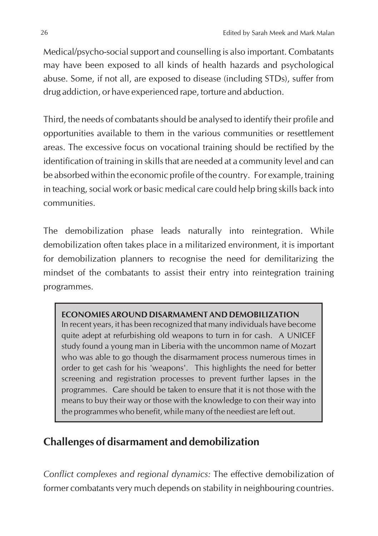Medical/psycho-social support and counselling is also important. Combatants may have been exposed to all kinds of health hazards and psychological abuse. Some, if not all, are exposed to disease (including STDs), suffer from drug addiction, or have experienced rape, torture and abduction.

Third, the needs of combatants should be analysed to identify their profile and opportunities available to them in the various communities or resettlement areas. The excessive focus on vocational training should be rectified by the identification of training in skills that are needed at a community level and can be absorbed within the economic profile of the country. For example, training in teaching, social work or basic medical care could help bring skills back into communities.

The demobilization phase leads naturally into reintegration. While demobilization often takes place in a militarized environment, it is important for demobilization planners to recognise the need for demilitarizing the mindset of the combatants to assist their entry into reintegration training programmes.

#### **ECONOMIES AROUND DISARMAMENT AND DEMOBILIZATION**

In recent years, it has been recognized that many individuals have become quite adept at refurbishing old weapons to turn in for cash. A UNICEF study found a young man in Liberia with the uncommon name of Mozart who was able to go though the disarmament process numerous times in order to get cash for his 'weapons'. This highlights the need for better screening and registration processes to prevent further lapses in the programmes. Care should be taken to ensure that it is not those with the means to buy their way or those with the knowledge to con their way into the programmes who benefit, while many of the neediest are left out.

### **Challenges of disarmament and demobilization**

*Conflict complexes and regional dynamics:* The effective demobilization of former combatants very much depends on stability in neighbouring countries.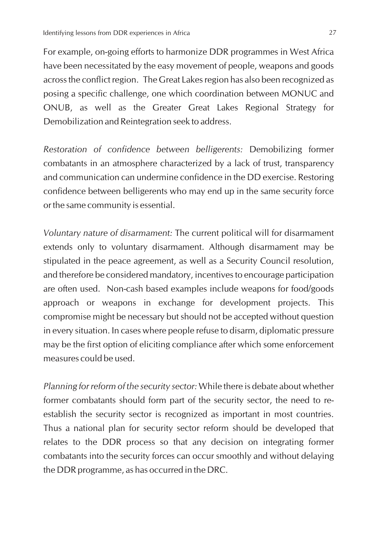For example, on-going efforts to harmonize DDR programmes in West Africa have been necessitated by the easy movement of people, weapons and goods across the conflict region. The Great Lakes region has also been recognized as posing a specific challenge, one which coordination between MONUC and ONUB, as well as the Greater Great Lakes Regional Strategy for Demobilization and Reintegration seek to address.

*Restoration of confidence between belligerents:* Demobilizing former combatants in an atmosphere characterized by a lack of trust, transparency and communication can undermine confidence in the DD exercise. Restoring confidence between belligerents who may end up in the same security force or the same community is essential.

*Voluntary nature of disarmament:* The current political will for disarmament extends only to voluntary disarmament. Although disarmament may be stipulated in the peace agreement, as well as a Security Council resolution, and therefore be considered mandatory, incentives to encourage participation are often used. Non-cash based examples include weapons for food/goods approach or weapons in exchange for development projects. This compromise might be necessary but should not be accepted without question in every situation. In cases where people refuse to disarm, diplomatic pressure may be the first option of eliciting compliance after which some enforcement measures could be used.

*Planning for reform of the security sector:* While there is debate about whether former combatants should form part of the security sector, the need to reestablish the security sector is recognized as important in most countries. Thus a national plan for security sector reform should be developed that relates to the DDR process so that any decision on integrating former combatants into the security forces can occur smoothly and without delaying the DDR programme, as has occurred in the DRC.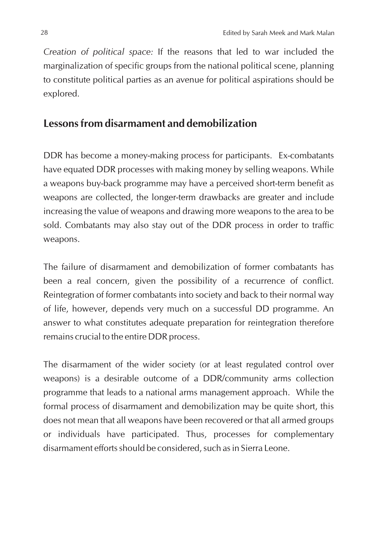*Creation of political space:* If the reasons that led to war included the marginalization of specific groups from the national political scene, planning to constitute political parties as an avenue for political aspirations should be explored.

### **Lessons from disarmament and demobilization**

DDR has become a money-making process for participants. Ex-combatants have equated DDR processes with making money by selling weapons. While a weapons buy-back programme may have a perceived short-term benefit as weapons are collected, the longer-term drawbacks are greater and include increasing the value of weapons and drawing more weapons to the area to be sold. Combatants may also stay out of the DDR process in order to traffic weapons.

The failure of disarmament and demobilization of former combatants has been a real concern, given the possibility of a recurrence of conflict. Reintegration of former combatants into society and back to their normal way of life, however, depends very much on a successful DD programme. An answer to what constitutes adequate preparation for reintegration therefore remains crucial to the entire DDR process.

The disarmament of the wider society (or at least regulated control over weapons) is a desirable outcome of a DDR/community arms collection programme that leads to a national arms management approach. While the formal process of disarmament and demobilization may be quite short, this does not mean that all weapons have been recovered or that all armed groups or individuals have participated. Thus, processes for complementary disarmament efforts should be considered, such as in Sierra Leone.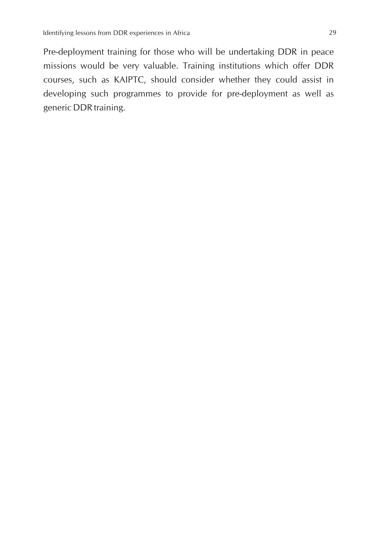Pre-deployment training for those who will be undertaking DDR in peace missions would be very valuable. Training institutions which offer DDR courses, such as KAIPTC, should consider whether they could assist in developing such programmes to provide for pre-deployment as well as generic DDR training.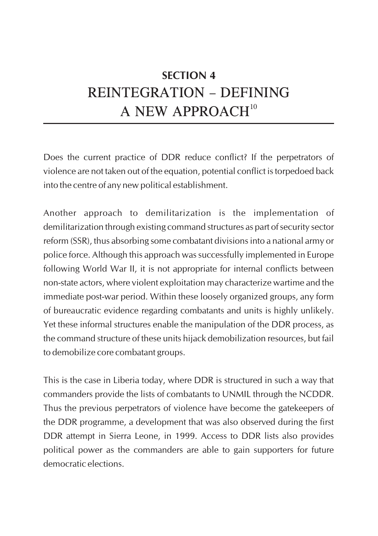# **SECTION 4** REINTEGRATION – DEFINING A NEW APPROACH $10$

Does the current practice of DDR reduce conflict? If the perpetrators of violence are not taken out of the equation, potential conflict is torpedoed back into the centre of any new political establishment.

Another approach to demilitarization is the implementation of demilitarization through existing command structures as part of security sector reform (SSR), thus absorbing some combatant divisions into a national army or police force. Although this approach was successfully implemented in Europe following World War II, it is not appropriate for internal conflicts between non-state actors, where violent exploitation may characterize wartime and the immediate post-war period. Within these loosely organized groups, any form of bureaucratic evidence regarding combatants and units is highly unlikely. Yet these informal structures enable the manipulation of the DDR process, as the command structure of these units hijack demobilization resources, but fail to demobilize core combatant groups.

This is the case in Liberia today, where DDR is structured in such a way that commanders provide the lists of combatants to UNMIL through the NCDDR. Thus the previous perpetrators of violence have become the gatekeepers of the DDR programme, a development that was also observed during the first DDR attempt in Sierra Leone, in 1999. Access to DDR lists also provides political power as the commanders are able to gain supporters for future democratic elections.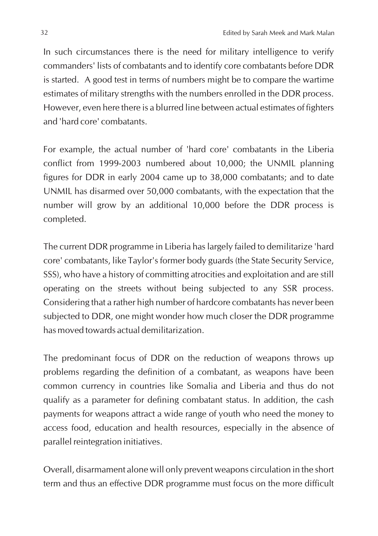In such circumstances there is the need for military intelligence to verify commanders' lists of combatants and to identify core combatants before DDR is started. A good test in terms of numbers might be to compare the wartime estimates of military strengths with the numbers enrolled in the DDR process. However, even here there is a blurred line between actual estimates of fighters and 'hard core' combatants.

For example, the actual number of 'hard core' combatants in the Liberia conflict from 1999-2003 numbered about 10,000; the UNMIL planning figures for DDR in early 2004 came up to 38,000 combatants; and to date UNMIL has disarmed over 50,000 combatants, with the expectation that the number will grow by an additional 10,000 before the DDR process is completed.

The current DDR programme in Liberia has largely failed to demilitarize 'hard core' combatants, like Taylor's former body guards (the State Security Service, SSS), who have a history of committing atrocities and exploitation and are still operating on the streets without being subjected to any SSR process. Considering that a rather high number of hardcore combatants has never been subjected to DDR, one might wonder how much closer the DDR programme has moved towards actual demilitarization.

The predominant focus of DDR on the reduction of weapons throws up problems regarding the definition of a combatant, as weapons have been common currency in countries like Somalia and Liberia and thus do not qualify as a parameter for defining combatant status. In addition, the cash payments for weapons attract a wide range of youth who need the money to access food, education and health resources, especially in the absence of parallel reintegration initiatives.

Overall, disarmament alone will only prevent weapons circulation in the short term and thus an effective DDR programme must focus on the more difficult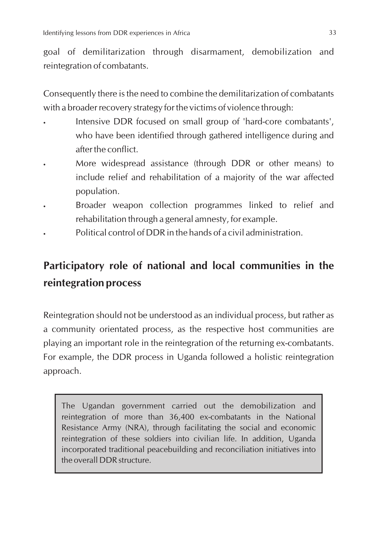goal of demilitarization through disarmament, demobilization and reintegration of combatants.

Consequently there is the need to combine the demilitarization of combatants with a broader recovery strategy for the victims of violence through:

- Intensive DDR focused on small group of 'hard-core combatants', who have been identified through gathered intelligence during and after the conflict.
- More widespread assistance (through DDR or other means) to include relief and rehabilitation of a majority of the war affected population.
- Broader weapon collection programmes linked to relief and rehabilitation through a general amnesty, for example.
- Political control of DDR in the hands of a civil administration.

## **Participatory role of national and local communities in the reintegration process**

Reintegration should not be understood as an individual process, but rather as a community orientated process, as the respective host communities are playing an important role in the reintegration of the returning ex-combatants. For example, the DDR process in Uganda followed a holistic reintegration approach.

The Ugandan government carried out the demobilization and reintegration of more than 36,400 ex-combatants in the National Resistance Army (NRA), through facilitating the social and economic reintegration of these soldiers into civilian life. In addition, Uganda incorporated traditional peacebuilding and reconciliation initiatives into the overall DDR structure.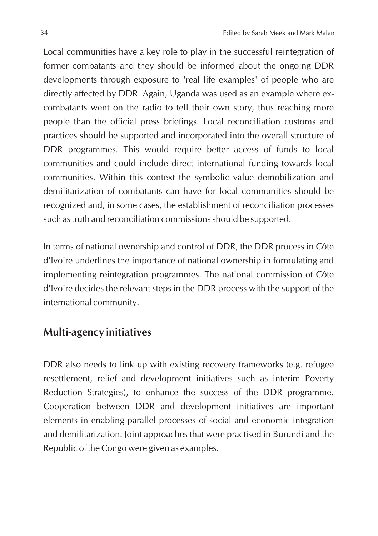Local communities have a key role to play in the successful reintegration of former combatants and they should be informed about the ongoing DDR developments through exposure to 'real life examples' of people who are directly affected by DDR. Again, Uganda was used as an example where excombatants went on the radio to tell their own story, thus reaching more people than the official press briefings. Local reconciliation customs and practices should be supported and incorporated into the overall structure of DDR programmes. This would require better access of funds to local communities and could include direct international funding towards local communities. Within this context the symbolic value demobilization and demilitarization of combatants can have for local communities should be recognized and, in some cases, the establishment of reconciliation processes such as truth and reconciliation commissions should be supported.

In terms of national ownership and control of DDR, the DDR process in Côte d'Ivoire underlines the importance of national ownership in formulating and implementing reintegration programmes. The national commission of Côte d'Ivoire decides the relevant steps in the DDR process with the support of the international community.

### **Multi-agency initiatives**

DDR also needs to link up with existing recovery frameworks (e.g. refugee resettlement, relief and development initiatives such as interim Poverty Reduction Strategies), to enhance the success of the DDR programme. Cooperation between DDR and development initiatives are important elements in enabling parallel processes of social and economic integration and demilitarization. Joint approaches that were practised in Burundi and the Republic of the Congo were given as examples.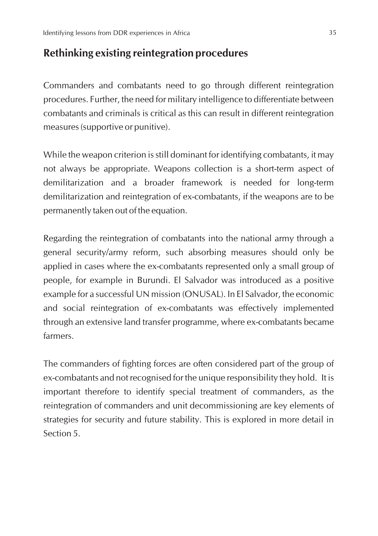### **Rethinking existing reintegration procedures**

Commanders and combatants need to go through different reintegration procedures. Further, the need for military intelligence to differentiate between combatants and criminals is critical as this can result in different reintegration measures (supportive or punitive).

While the weapon criterion is still dominant for identifying combatants, it may not always be appropriate. Weapons collection is a short-term aspect of demilitarization and a broader framework is needed for long-term demilitarization and reintegration of ex-combatants, if the weapons are to be permanently taken out of the equation.

Regarding the reintegration of combatants into the national army through a general security/army reform, such absorbing measures should only be applied in cases where the ex-combatants represented only a small group of people, for example in Burundi. El Salvador was introduced as a positive example for a successful UN mission (ONUSAL). In El Salvador, the economic and social reintegration of ex-combatants was effectively implemented through an extensive land transfer programme, where ex-combatants became farmers.

The commanders of fighting forces are often considered part of the group of ex-combatants and not recognised for the unique responsibility they hold. It is important therefore to identify special treatment of commanders, as the reintegration of commanders and unit decommissioning are key elements of strategies for security and future stability. This is explored in more detail in Section 5.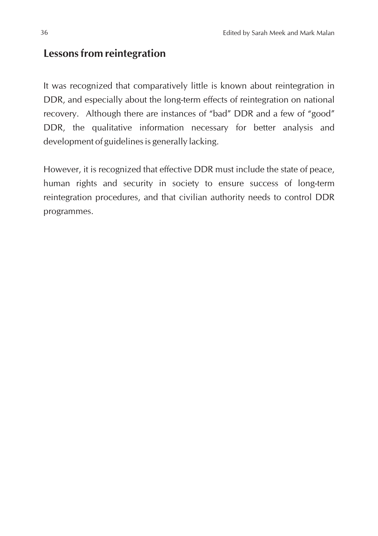#### **Lessons from reintegration**

It was recognized that comparatively little is known about reintegration in DDR, and especially about the long-term effects of reintegration on national recovery. Although there are instances of "bad" DDR and a few of "good" DDR, the qualitative information necessary for better analysis and development of guidelines is generally lacking.

However, it is recognized that effective DDR must include the state of peace, human rights and security in society to ensure success of long-term reintegration procedures, and that civilian authority needs to control DDR programmes.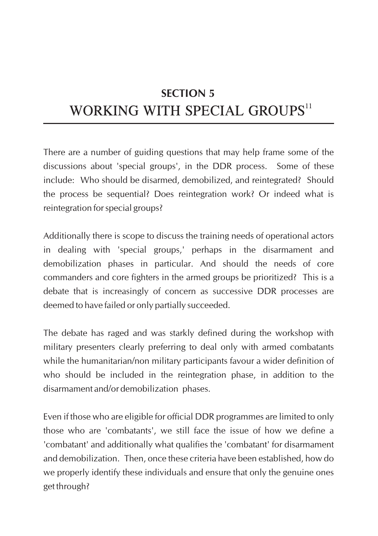# **SECTION 5** WORKING WITH SPECIAL GROUPS<sup>11</sup>

There are a number of guiding questions that may help frame some of the discussions about 'special groups', in the DDR process. Some of these include: Who should be disarmed, demobilized, and reintegrated? Should the process be sequential? Does reintegration work? Or indeed what is reintegration for special groups?

Additionally there is scope to discuss the training needs of operational actors in dealing with 'special groups,' perhaps in the disarmament and demobilization phases in particular. And should the needs of core commanders and core fighters in the armed groups be prioritized? This is a debate that is increasingly of concern as successive DDR processes are deemed to have failed or only partially succeeded.

The debate has raged and was starkly defined during the workshop with military presenters clearly preferring to deal only with armed combatants while the humanitarian/non military participants favour a wider definition of who should be included in the reintegration phase, in addition to the disarmament and/or demobilization phases.

Even if those who are eligible for official DDR programmes are limited to only those who are 'combatants', we still face the issue of how we define a 'combatant' and additionally what qualifies the 'combatant' for disarmament and demobilization. Then, once these criteria have been established, how do we properly identify these individuals and ensure that only the genuine ones get through?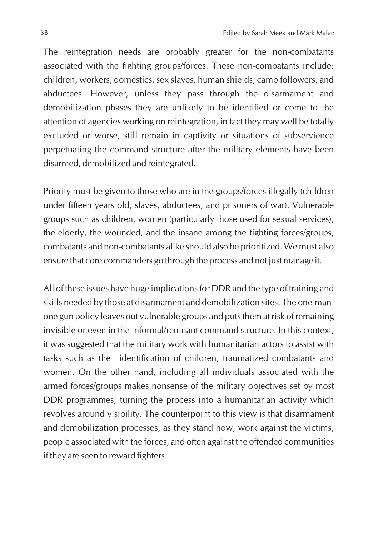The reintegration needs are probably greater for the non-combatants associated with the fighting groups/forces. These non-combatants include: children, workers, domestics, sex slaves, human shields, camp followers, and abductees. However, unless they pass through the disarmament and demobilization phases they are unlikely to be identified or come to the attention of agencies working on reintegration, in fact they may well be totally excluded or worse, still remain in captivity or situations of subservience perpetuating the command structure after the military elements have been disarmed, demobilized and reintegrated.

Priority must be given to those who are in the groups/forces illegally (children under fifteen years old, slaves, abductees, and prisoners of war). Vulnerable groups such as children, women (particularly those used for sexual services), the elderly, the wounded, and the insane among the fighting forces/groups, combatants and non-combatants alike should also be prioritized. We must also ensure that core commanders go through the process and not just manage it.

All of these issues have huge implications for DDR and the type of training and skills needed by those at disarmament and demobilization sites. The one-manone gun policy leaves out vulnerable groups and puts them at risk of remaining invisible or even in the informal/remnant command structure. In this context, it was suggested that the military work with humanitarian actors to assist with tasks such as the identification of children, traumatized combatants and women. On the other hand, including all individuals associated with the armed forces/groups makes nonsense of the military objectives set by most DDR programmes, turning the process into a humanitarian activity which revolves around visibility. The counterpoint to this view is that disarmament and demobilization processes, as they stand now, work against the victims, people associated with the forces, and often against the offended communities if they are seen to reward fighters.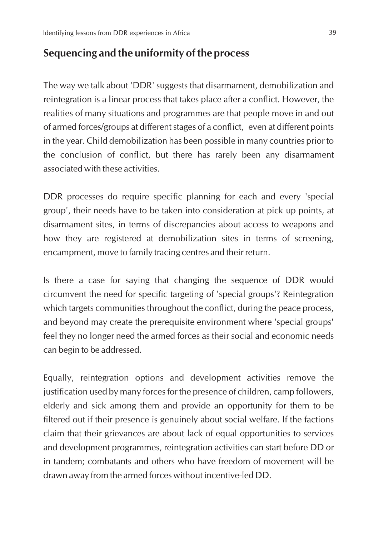### **Sequencing and the uniformity of the process**

The way we talk about 'DDR' suggests that disarmament, demobilization and reintegration is a linear process that takes place after a conflict. However, the realities of many situations and programmes are that people move in and out of armed forces/groups at different stages of a conflict, even at different points in the year. Child demobilization has been possible in many countries prior to the conclusion of conflict, but there has rarely been any disarmament associated with these activities.

DDR processes do require specific planning for each and every 'special group', their needs have to be taken into consideration at pick up points, at disarmament sites, in terms of discrepancies about access to weapons and how they are registered at demobilization sites in terms of screening, encampment, move to family tracing centres and their return.

Is there a case for saying that changing the sequence of DDR would circumvent the need for specific targeting of 'special groups'? Reintegration which targets communities throughout the conflict, during the peace process, and beyond may create the prerequisite environment where 'special groups' feel they no longer need the armed forces as their social and economic needs can begin to be addressed.

Equally, reintegration options and development activities remove the justification used by many forces for the presence of children, camp followers, elderly and sick among them and provide an opportunity for them to be filtered out if their presence is genuinely about social welfare. If the factions claim that their grievances are about lack of equal opportunities to services and development programmes, reintegration activities can start before DD or in tandem; combatants and others who have freedom of movement will be drawn away from the armed forces without incentive-led DD.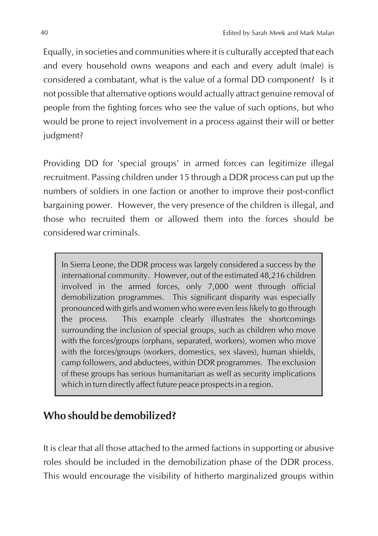Equally, in societies and communities where it is culturally accepted that each and every household owns weapons and each and every adult (male) is considered a combatant, what is the value of a formal DD component? Is it not possible that alternative options would actually attract genuine removal of people from the fighting forces who see the value of such options, but who would be prone to reject involvement in a process against their will or better judgment?

Providing DD for 'special groups' in armed forces can legitimize illegal recruitment. Passing children under 15 through a DDR process can put up the numbers of soldiers in one faction or another to improve their post-conflict bargaining power. However, the very presence of the children is illegal, and those who recruited them or allowed them into the forces should be considered war criminals.

In Sierra Leone, the DDR process was largely considered a success by the international community. However, out of the estimated 48,216 children involved in the armed forces, only 7,000 went through official demobilization programmes. This significant disparity was especially pronounced with girls and women who were even less likely to go through the process. This example clearly illustrates the shortcomings surrounding the inclusion of special groups, such as children who move with the forces/groups (orphans, separated, workers), women who move with the forces/groups (workers, domestics, sex slaves), human shields, camp followers, and abductees, within DDR programmes. The exclusion of these groups has serious humanitarian as well as security implications which in turn directly affect future peace prospects in a region.

## **Who should be demobilized?**

It is clear that all those attached to the armed factions in supporting or abusive roles should be included in the demobilization phase of the DDR process. This would encourage the visibility of hitherto marginalized groups within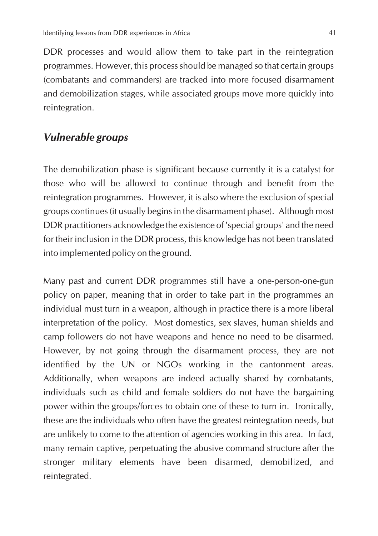DDR processes and would allow them to take part in the reintegration programmes. However, this process should be managed so that certain groups (combatants and commanders) are tracked into more focused disarmament and demobilization stages, while associated groups move more quickly into reintegration.

#### *Vulnerable groups*

The demobilization phase is significant because currently it is a catalyst for those who will be allowed to continue through and benefit from the reintegration programmes. However, it is also where the exclusion of special groups continues (it usually begins in the disarmament phase). Although most DDR practitioners acknowledge the existence of 'special groups' and the need for their inclusion in the DDR process, this knowledge has not been translated into implemented policy on the ground.

Many past and current DDR programmes still have a one-person-one-gun policy on paper, meaning that in order to take part in the programmes an individual must turn in a weapon, although in practice there is a more liberal interpretation of the policy. Most domestics, sex slaves, human shields and camp followers do not have weapons and hence no need to be disarmed. However, by not going through the disarmament process, they are not identified by the UN or NGOs working in the cantonment areas. Additionally, when weapons are indeed actually shared by combatants, individuals such as child and female soldiers do not have the bargaining power within the groups/forces to obtain one of these to turn in. Ironically, these are the individuals who often have the greatest reintegration needs, but are unlikely to come to the attention of agencies working in this area. In fact, many remain captive, perpetuating the abusive command structure after the stronger military elements have been disarmed, demobilized, and reintegrated.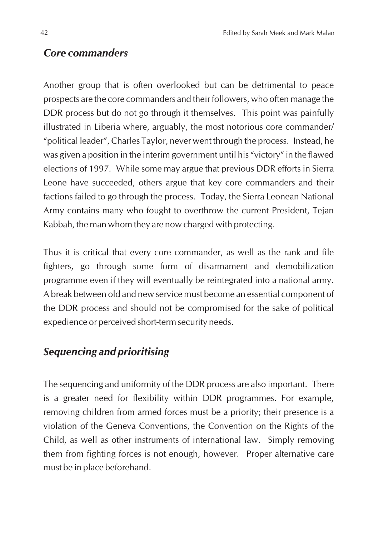#### *Core commanders*

Another group that is often overlooked but can be detrimental to peace prospects are the core commanders and their followers, who often manage the DDR process but do not go through it themselves. This point was painfully illustrated in Liberia where, arguably, the most notorious core commander/ "political leader", Charles Taylor, never went through the process. Instead, he was given a position in the interim government until his "victory" in the flawed elections of 1997. While some may argue that previous DDR efforts in Sierra Leone have succeeded, others argue that key core commanders and their factions failed to go through the process. Today, the Sierra Leonean National Army contains many who fought to overthrow the current President, Tejan Kabbah, the man whom they are now charged with protecting.

Thus it is critical that every core commander, as well as the rank and file fighters, go through some form of disarmament and demobilization programme even if they will eventually be reintegrated into a national army. A break between old and new service must become an essential component of the DDR process and should not be compromised for the sake of political expedience or perceived short-term security needs.

## *Sequencing and prioritising*

The sequencing and uniformity of the DDR process are also important. There is a greater need for flexibility within DDR programmes. For example, removing children from armed forces must be a priority; their presence is a violation of the Geneva Conventions, the Convention on the Rights of the Child, as well as other instruments of international law. Simply removing them from fighting forces is not enough, however. Proper alternative care must be in place beforehand.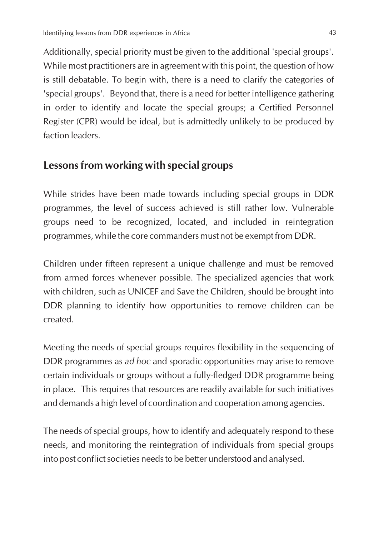Additionally, special priority must be given to the additional 'special groups'. While most practitioners are in agreement with this point, the question of how is still debatable. To begin with, there is a need to clarify the categories of 'special groups'. Beyond that, there is a need for better intelligence gathering in order to identify and locate the special groups; a Certified Personnel Register (CPR) would be ideal, but is admittedly unlikely to be produced by faction leaders.

#### **Lessons from working with special groups**

While strides have been made towards including special groups in DDR programmes, the level of success achieved is still rather low. Vulnerable groups need to be recognized, located, and included in reintegration programmes, while the core commanders must not be exempt from DDR.

Children under fifteen represent a unique challenge and must be removed from armed forces whenever possible. The specialized agencies that work with children, such as UNICEF and Save the Children, should be brought into DDR planning to identify how opportunities to remove children can be created.

Meeting the needs of special groups requires flexibility in the sequencing of DDR programmes as *ad hoc* and sporadic opportunities may arise to remove certain individuals or groups without a fully-fledged DDR programme being in place. This requires that resources are readily available for such initiatives and demands a high level of coordination and cooperation among agencies.

The needs of special groups, how to identify and adequately respond to these needs, and monitoring the reintegration of individuals from special groups into post conflict societies needs to be better understood and analysed.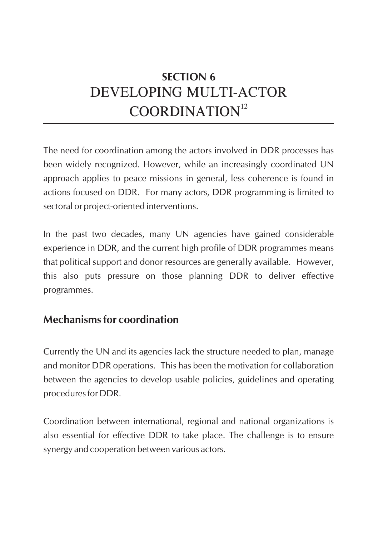## **SECTION 6** DEVELOPING MULTI-ACTOR  $COORDINATION<sup>12</sup>$

The need for coordination among the actors involved in DDR processes has been widely recognized. However, while an increasingly coordinated UN approach applies to peace missions in general, less coherence is found in actions focused on DDR. For many actors, DDR programming is limited to sectoral or project-oriented interventions.

In the past two decades, many UN agencies have gained considerable experience in DDR, and the current high profile of DDR programmes means that political support and donor resources are generally available. However, this also puts pressure on those planning DDR to deliver effective programmes.

## **Mechanisms for coordination**

Currently the UN and its agencies lack the structure needed to plan, manage and monitor DDR operations. This has been the motivation for collaboration between the agencies to develop usable policies, guidelines and operating procedures for DDR.

Coordination between international, regional and national organizations is also essential for effective DDR to take place. The challenge is to ensure synergy and cooperation between various actors.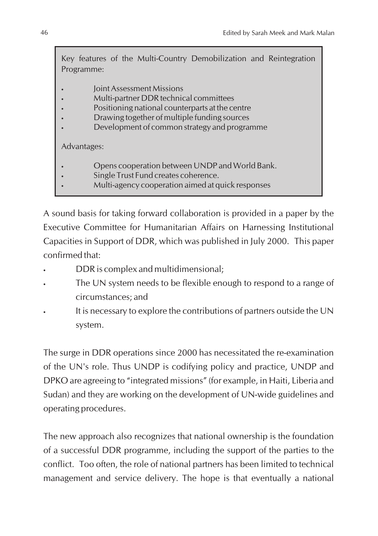| Key features of the Multi-Country Demobilization and Reintegration<br>Programme: |                                                                                                                                                                                                                        |  |
|----------------------------------------------------------------------------------|------------------------------------------------------------------------------------------------------------------------------------------------------------------------------------------------------------------------|--|
|                                                                                  | Joint Assessment Missions<br>Multi-partner DDR technical committees<br>Positioning national counterparts at the centre<br>Drawing together of multiple funding sources<br>Development of common strategy and programme |  |
| Advantages:                                                                      |                                                                                                                                                                                                                        |  |
|                                                                                  | Opens cooperation between UNDP and World Bank.<br>Single Trust Fund creates coherence.<br>Multi-agency cooperation aimed at quick responses                                                                            |  |

A sound basis for taking forward collaboration is provided in a paper by the Executive Committee for Humanitarian Affairs on Harnessing Institutional Capacities in Support of DDR, which was published in July 2000. This paper confirmed that:

- DDR is complex and multidimensional;
- The UN system needs to be flexible enough to respond to a range of circumstances; and
- It is necessary to explore the contributions of partners outside the UN system.

The surge in DDR operations since 2000 has necessitated the re-examination of the UN's role. Thus UNDP is codifying policy and practice, UNDP and DPKO are agreeing to "integrated missions" (for example, in Haiti, Liberia and Sudan) and they are working on the development of UN-wide guidelines and operating procedures.

The new approach also recognizes that national ownership is the foundation of a successful DDR programme, including the support of the parties to the conflict. Too often, the role of national partners has been limited to technical management and service delivery. The hope is that eventually a national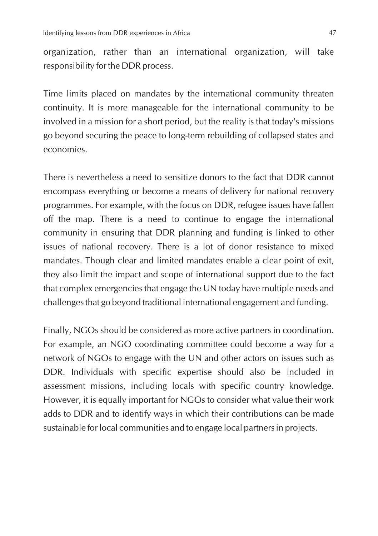organization, rather than an international organization, will take responsibility for the DDR process.

Time limits placed on mandates by the international community threaten continuity. It is more manageable for the international community to be involved in a mission for a short period, but the reality is that today's missions go beyond securing the peace to long-term rebuilding of collapsed states and economies.

There is nevertheless a need to sensitize donors to the fact that DDR cannot encompass everything or become a means of delivery for national recovery programmes. For example, with the focus on DDR, refugee issues have fallen off the map. There is a need to continue to engage the international community in ensuring that DDR planning and funding is linked to other issues of national recovery. There is a lot of donor resistance to mixed mandates. Though clear and limited mandates enable a clear point of exit, they also limit the impact and scope of international support due to the fact that complex emergencies that engage the UN today have multiple needs and challenges that go beyond traditional international engagement and funding.

Finally, NGOs should be considered as more active partners in coordination. For example, an NGO coordinating committee could become a way for a network of NGOs to engage with the UN and other actors on issues such as DDR. Individuals with specific expertise should also be included in assessment missions, including locals with specific country knowledge. However, it is equally important for NGOs to consider what value their work adds to DDR and to identify ways in which their contributions can be made sustainable for local communities and to engage local partners in projects.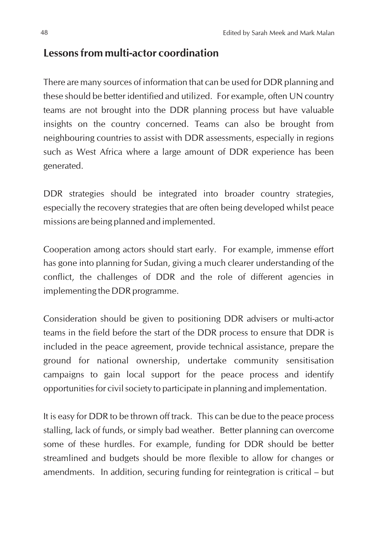## **Lessons from multi-actor coordination**

There are many sources of information that can be used for DDR planning and these should be better identified and utilized. For example, often UN country teams are not brought into the DDR planning process but have valuable insights on the country concerned. Teams can also be brought from neighbouring countries to assist with DDR assessments, especially in regions such as West Africa where a large amount of DDR experience has been generated.

DDR strategies should be integrated into broader country strategies, especially the recovery strategies that are often being developed whilst peace missions are being planned and implemented.

Cooperation among actors should start early. For example, immense effort has gone into planning for Sudan, giving a much clearer understanding of the conflict, the challenges of DDR and the role of different agencies in implementing the DDR programme.

Consideration should be given to positioning DDR advisers or multi-actor teams in the field before the start of the DDR process to ensure that DDR is included in the peace agreement, provide technical assistance, prepare the ground for national ownership, undertake community sensitisation campaigns to gain local support for the peace process and identify opportunities for civil society to participate in planning and implementation.

It is easy for DDR to be thrown off track. This can be due to the peace process stalling, lack of funds, or simply bad weather. Better planning can overcome some of these hurdles. For example, funding for DDR should be better streamlined and budgets should be more flexible to allow for changes or amendments. In addition, securing funding for reintegration is critical – but